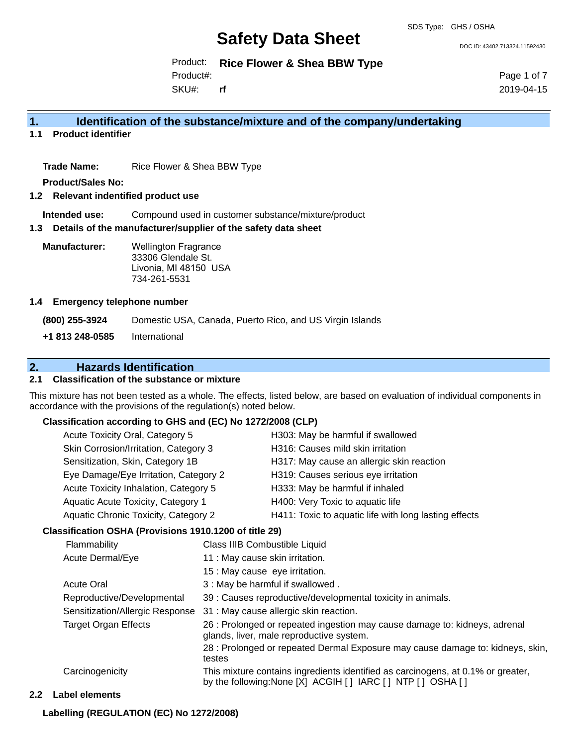DOC ID: 43402.713324.11592430

Product: **Rice Flower & Shea BBW Type**

Product#:

SKU#: **rf** Page 1 of 7 2019-04-15

### **1. Identification of the substance/mixture and of the company/undertaking**

**1.1 Product identifier**

**Trade Name:** Rice Flower & Shea BBW Type

**Product/Sales No:**

#### **1.2 Relevant indentified product use**

**Intended use:** Compound used in customer substance/mixture/product

#### **1.3 Details of the manufacturer/supplier of the safety data sheet**

**Manufacturer:** Wellington Fragrance 33306 Glendale St. Livonia, MI 48150 USA 734-261-5531

#### **1.4 Emergency telephone number**

**(800) 255-3924** Domestic USA, Canada, Puerto Rico, and US Virgin Islands **+1 813 248-0585** International

### **2. Hazards Identification**

### **2.1 Classification of the substance or mixture**

This mixture has not been tested as a whole. The effects, listed below, are based on evaluation of individual components in accordance with the provisions of the regulation(s) noted below.

#### **Classification according to GHS and (EC) No 1272/2008 (CLP)**

| Acute Toxicity Oral, Category 5                                                                                                                                                                                                                                                                                             | H303: May be harmful if swallowed                     |
|-----------------------------------------------------------------------------------------------------------------------------------------------------------------------------------------------------------------------------------------------------------------------------------------------------------------------------|-------------------------------------------------------|
| Skin Corrosion/Irritation, Category 3                                                                                                                                                                                                                                                                                       | H316: Causes mild skin irritation                     |
| Sensitization, Skin, Category 1B                                                                                                                                                                                                                                                                                            | H317: May cause an allergic skin reaction             |
| Eye Damage/Eye Irritation, Category 2                                                                                                                                                                                                                                                                                       | H319: Causes serious eye irritation                   |
| Acute Toxicity Inhalation, Category 5                                                                                                                                                                                                                                                                                       | H333: May be harmful if inhaled                       |
| Aquatic Acute Toxicity, Category 1                                                                                                                                                                                                                                                                                          | H400: Very Toxic to aquatic life                      |
| Aquatic Chronic Toxicity, Category 2                                                                                                                                                                                                                                                                                        | H411: Toxic to aquatic life with long lasting effects |
| $\mathbf{r}$ $\mathbf{r}$ $\mathbf{r}$ and $\mathbf{r}$ $\mathbf{r}$ $\mathbf{r}$ $\mathbf{r}$ $\mathbf{r}$ $\mathbf{r}$ $\mathbf{r}$ $\mathbf{r}$ $\mathbf{r}$ $\mathbf{r}$ $\mathbf{r}$ $\mathbf{r}$ $\mathbf{r}$ $\mathbf{r}$ $\mathbf{r}$ $\mathbf{r}$ $\mathbf{r}$ $\mathbf{r}$ $\mathbf{r}$ $\mathbf{r}$ $\mathbf{r}$ |                                                       |

#### **Classification OSHA (Provisions 1910.1200 of title 29)**

|                  | Flammability                    | Class IIIB Combustible Liquid                                                                                                                      |
|------------------|---------------------------------|----------------------------------------------------------------------------------------------------------------------------------------------------|
| Acute Dermal/Eye |                                 | 11 : May cause skin irritation.                                                                                                                    |
|                  |                                 | 15 : May cause eye irritation.                                                                                                                     |
|                  | <b>Acute Oral</b>               | 3 : May be harmful if swallowed.                                                                                                                   |
|                  | Reproductive/Developmental      | 39 : Causes reproductive/developmental toxicity in animals.                                                                                        |
|                  | Sensitization/Allergic Response | 31 : May cause allergic skin reaction.                                                                                                             |
|                  | Target Organ Effects            | 26 : Prolonged or repeated ingestion may cause damage to: kidneys, adrenal<br>glands, liver, male reproductive system.                             |
|                  |                                 | 28 : Prolonged or repeated Dermal Exposure may cause damage to: kidneys, skin,<br>testes                                                           |
|                  | Carcinogenicity                 | This mixture contains ingredients identified as carcinogens, at 0.1% or greater,<br>by the following: None [X] ACGIH [ ] IARC [ ] NTP [ ] OSHA [ ] |
|                  | .                               |                                                                                                                                                    |

#### **2.2 Label elements**

**Labelling (REGULATION (EC) No 1272/2008)**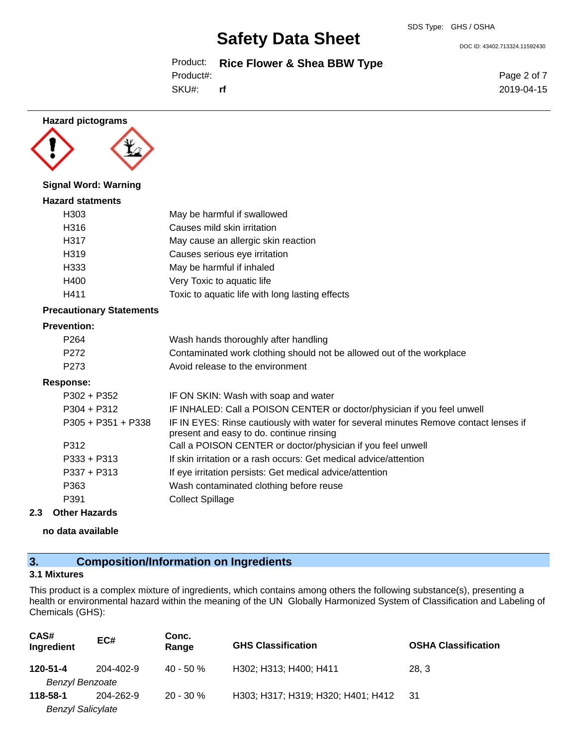Product: **Rice Flower & Shea BBW Type**

SKU#: Product#: **rf**

**Hazard pictograms**

#### **Signal Word: Warning**

# **Hazard statments** H303 May be harmful if swallowed H316 Causes mild skin irritation H317 May cause an allergic skin reaction H319 Causes serious eye irritation H333 May be harmful if inhaled H400 Very Toxic to aquatic life H411 Toxic to aquatic life with long lasting effects

#### **Precautionary Statements**

### **Prevention:**

| ------           |                                                                       |
|------------------|-----------------------------------------------------------------------|
| P <sub>273</sub> | Avoid release to the environment                                      |
| P <sub>272</sub> | Contaminated work clothing should not be allowed out of the workplace |
| P <sub>264</sub> | Wash hands thoroughly after handling                                  |

#### **Response:**

| $P302 + P352$        | IF ON SKIN: Wash with soap and water                                                                                             |
|----------------------|----------------------------------------------------------------------------------------------------------------------------------|
| $P304 + P312$        | IF INHALED: Call a POISON CENTER or doctor/physician if you feel unwell                                                          |
| $P305 + P351 + P338$ | IF IN EYES: Rinse cautiously with water for several minutes Remove contact lenses if<br>present and easy to do. continue rinsing |
| P312                 | Call a POISON CENTER or doctor/physician if you feel unwell                                                                      |
| $P333 + P313$        | If skin irritation or a rash occurs: Get medical advice/attention                                                                |
| $P337 + P313$        | If eye irritation persists: Get medical advice/attention                                                                         |
| P363                 | Wash contaminated clothing before reuse                                                                                          |
| P391                 | <b>Collect Spillage</b>                                                                                                          |
|                      |                                                                                                                                  |

#### **2.3 Other Hazards**

**no data available**

# **3. Composition/Information on Ingredients**

# **3.1 Mixtures**

This product is a complex mixture of ingredients, which contains among others the following substance(s), presenting a health or environmental hazard within the meaning of the UN Globally Harmonized System of Classification and Labeling of Chemicals (GHS):

| CAS#<br>Ingredient       | EC#       | Conc.<br>Range | <b>GHS Classification</b>          | <b>OSHA Classification</b> |
|--------------------------|-----------|----------------|------------------------------------|----------------------------|
| 120-51-4                 | 204-402-9 | $40 - 50 \%$   | H302; H313; H400; H411             | 28.3                       |
| <b>Benzyl Benzoate</b>   |           |                |                                    |                            |
| 118-58-1                 | 204-262-9 | $20 - 30 \%$   | H303; H317; H319; H320; H401; H412 | - 31                       |
| <b>Benzyl Salicylate</b> |           |                |                                    |                            |

DOC ID: 43402.713324.11592430

Page 2 of 7 2019-04-15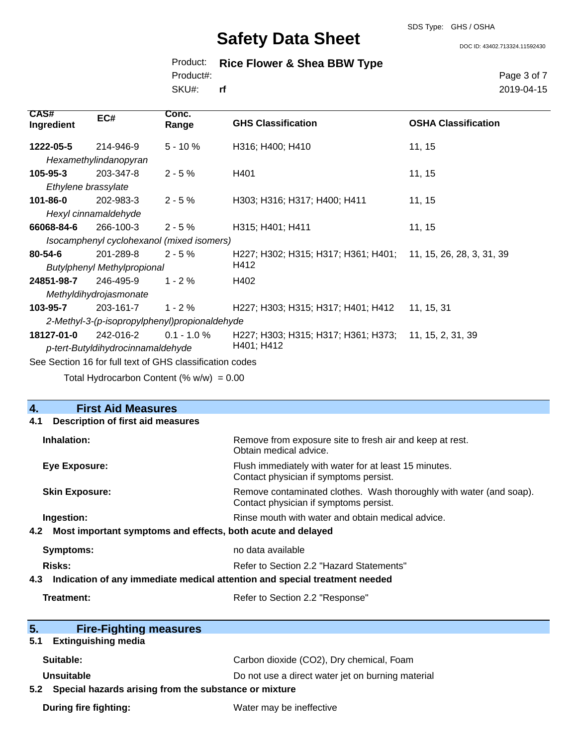SDS Type: GHS / OSHA

DOC ID: 43402.713324.11592430

|           | Product: Rice Flower & Shea BBW Type |  |
|-----------|--------------------------------------|--|
| Product#: |                                      |  |

SKU#: **rf** Page 3 of 7 2019-04-15

| <b>CAS#</b><br>Ingredient | EC#                                                      | Conc.<br>Range | <b>GHS Classification</b>                                     | <b>OSHA Classification</b> |
|---------------------------|----------------------------------------------------------|----------------|---------------------------------------------------------------|----------------------------|
| 1222-05-5                 | 214-946-9                                                | $5 - 10%$      | H316; H400; H410                                              | 11, 15                     |
|                           | Hexamethylindanopyran                                    |                |                                                               |                            |
| $105 - 95 - 3$            | 203-347-8                                                | $2 - 5%$       | H401                                                          | 11, 15                     |
| Ethylene brassylate       |                                                          |                |                                                               |                            |
| $101 - 86 - 0$            | 202-983-3                                                | $2 - 5%$       | H303; H316; H317; H400; H411                                  | 11, 15                     |
|                           | Hexyl cinnamaldehyde                                     |                |                                                               |                            |
| 66068-84-6                | 266-100-3                                                | $2 - 5%$       | H315; H401; H411                                              | 11, 15                     |
|                           | Isocamphenyl cyclohexanol (mixed isomers)                |                |                                                               |                            |
| $80 - 54 - 6$             | 201-289-8                                                | $2 - 5 \%$     | H227; H302; H315; H317; H361; H401; 11, 15, 26, 28, 3, 31, 39 |                            |
|                           | <b>Butylphenyl Methylpropional</b>                       |                | H412                                                          |                            |
| 24851-98-7                | 246-495-9                                                | $1 - 2 \%$     | H402                                                          |                            |
|                           | Methyldihydrojasmonate                                   |                |                                                               |                            |
| 103-95-7                  | 203-161-7                                                | $1 - 2 \%$     | H227; H303; H315; H317; H401; H412                            | 11, 15, 31                 |
|                           | 2-Methyl-3-(p-isopropylphenyl)propionaldehyde            |                |                                                               |                            |
| 18127-01-0                | 242-016-2                                                | $0.1 - 1.0 \%$ | H227; H303; H315; H317; H361; H373; 11, 15, 2, 31, 39         |                            |
|                           | p-tert-Butyldihydrocinnamaldehyde                        |                | H401; H412                                                    |                            |
|                           | See Section 16 for full text of GHS classification codes |                |                                                               |                            |

Total Hydrocarbon Content  $(\% w/w) = 0.00$ 

| <b>First Aid Measures</b><br>4.                           |                                                                                                               |  |  |
|-----------------------------------------------------------|---------------------------------------------------------------------------------------------------------------|--|--|
| <b>Description of first aid measures</b><br>4.1           |                                                                                                               |  |  |
| Inhalation:                                               | Remove from exposure site to fresh air and keep at rest.<br>Obtain medical advice.                            |  |  |
| <b>Eye Exposure:</b>                                      | Flush immediately with water for at least 15 minutes.<br>Contact physician if symptoms persist.               |  |  |
| <b>Skin Exposure:</b>                                     | Remove contaminated clothes. Wash thoroughly with water (and soap).<br>Contact physician if symptoms persist. |  |  |
| Ingestion:                                                | Rinse mouth with water and obtain medical advice.                                                             |  |  |
|                                                           | 4.2 Most important symptoms and effects, both acute and delayed                                               |  |  |
| <b>Symptoms:</b>                                          | no data available                                                                                             |  |  |
| Risks:                                                    | Refer to Section 2.2 "Hazard Statements"                                                                      |  |  |
|                                                           | 4.3 Indication of any immediate medical attention and special treatment needed                                |  |  |
| Treatment:                                                | Refer to Section 2.2 "Response"                                                                               |  |  |
|                                                           |                                                                                                               |  |  |
| 5 <sub>1</sub><br><b>Fire-Fighting measures</b>           |                                                                                                               |  |  |
| <b>Extinguishing media</b><br>5.1                         |                                                                                                               |  |  |
| Suitable:                                                 | Carbon dioxide (CO2), Dry chemical, Foam                                                                      |  |  |
| Unsuitable                                                | Do not use a direct water jet on burning material                                                             |  |  |
| 5.2 Special hazards arising from the substance or mixture |                                                                                                               |  |  |
| During fire fighting:                                     | Water may be ineffective                                                                                      |  |  |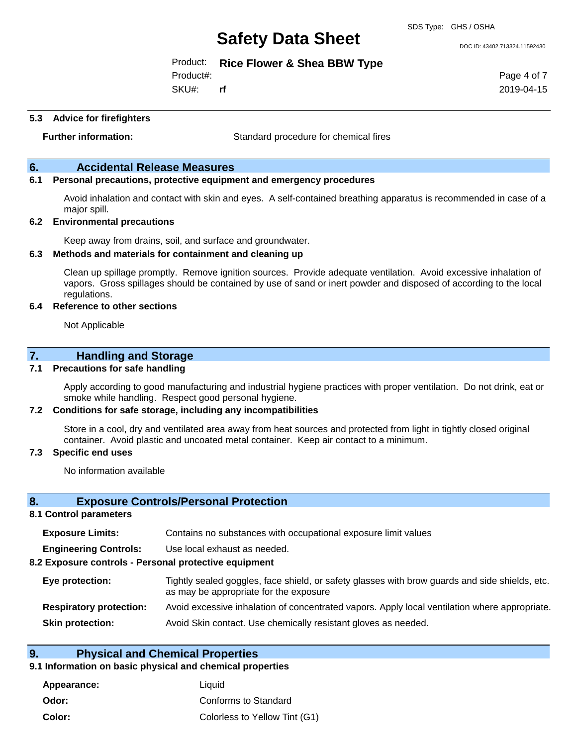DOC ID: 43402.713324.11592430

#### Product: **Rice Flower & Shea BBW Type**

Product#:

SKU#: **rf** Page 4 of 7 2019-04-15

#### **5.3 Advice for firefighters**

**Further information:** Standard procedure for chemical fires

### **6. Accidental Release Measures**

#### **6.1 Personal precautions, protective equipment and emergency procedures**

Avoid inhalation and contact with skin and eyes. A self-contained breathing apparatus is recommended in case of a major spill.

#### **6.2 Environmental precautions**

Keep away from drains, soil, and surface and groundwater.

#### **6.3 Methods and materials for containment and cleaning up**

Clean up spillage promptly. Remove ignition sources. Provide adequate ventilation. Avoid excessive inhalation of vapors. Gross spillages should be contained by use of sand or inert powder and disposed of according to the local regulations.

#### **6.4 Reference to other sections**

Not Applicable

#### **7. Handling and Storage**

#### **7.1 Precautions for safe handling**

Apply according to good manufacturing and industrial hygiene practices with proper ventilation. Do not drink, eat or smoke while handling. Respect good personal hygiene.

#### **7.2 Conditions for safe storage, including any incompatibilities**

Store in a cool, dry and ventilated area away from heat sources and protected from light in tightly closed original container. Avoid plastic and uncoated metal container. Keep air contact to a minimum.

#### **7.3 Specific end uses**

No information available

#### **8. Exposure Controls/Personal Protection**

#### **8.1 Control parameters**

| <b>Exposure Limits:</b>                               | Contains no substances with occupational exposure limit values                                                                           |
|-------------------------------------------------------|------------------------------------------------------------------------------------------------------------------------------------------|
| <b>Engineering Controls:</b>                          | Use local exhaust as needed.                                                                                                             |
| 8.2 Exposure controls - Personal protective equipment |                                                                                                                                          |
| Eye protection:                                       | Tightly sealed goggles, face shield, or safety glasses with brow guards and side shields, etc.<br>as may be appropriate for the exposure |
| <b>Respiratory protection:</b>                        | Avoid excessive inhalation of concentrated vapors. Apply local ventilation where appropriate.                                            |
| <b>Skin protection:</b>                               | Avoid Skin contact. Use chemically resistant gloves as needed.                                                                           |
|                                                       |                                                                                                                                          |

#### **9. Physical and Chemical Properties**

### **9.1 Information on basic physical and chemical properties**

| Appearance: | Liauid                        |
|-------------|-------------------------------|
| Odor:       | Conforms to Standard          |
| Color:      | Colorless to Yellow Tint (G1) |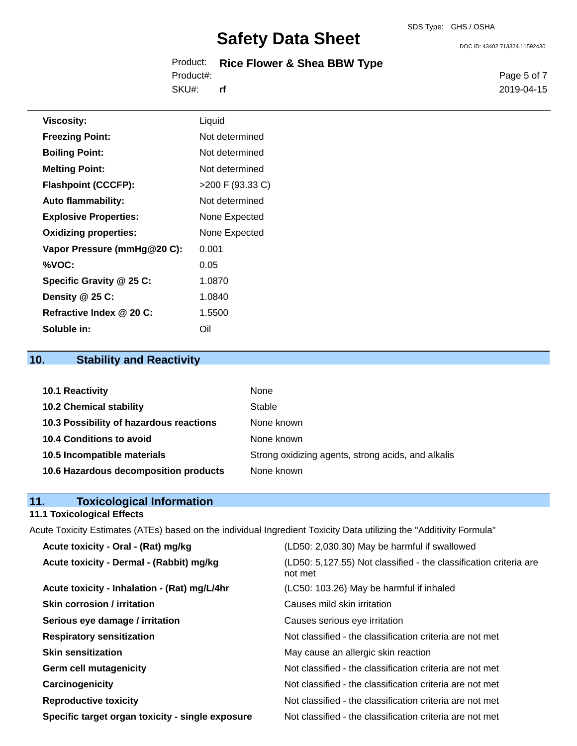DOC ID: 43402.713324.11592430

|           | Product: Rice Flower & Shea BBW Type |
|-----------|--------------------------------------|
| Product#: |                                      |
| SKU#:     | rf                                   |

Page 5 of 7 2019-04-15

| <b>Viscosity:</b>            | Liquid             |
|------------------------------|--------------------|
| <b>Freezing Point:</b>       | Not determined     |
| <b>Boiling Point:</b>        | Not determined     |
| <b>Melting Point:</b>        | Not determined     |
| <b>Flashpoint (CCCFP):</b>   | $>200$ F (93.33 C) |
| <b>Auto flammability:</b>    | Not determined     |
| <b>Explosive Properties:</b> | None Expected      |
| <b>Oxidizing properties:</b> | None Expected      |
| Vapor Pressure (mmHg@20 C):  | 0.001              |
| %VOC:                        | 0.05               |
| Specific Gravity @ 25 C:     | 1.0870             |
| Density @ 25 C:              | 1.0840             |
| Refractive Index @ 20 C:     | 1.5500             |
| Soluble in:                  | Oil                |

# **10. Stability and Reactivity**

| 10.1 Reactivity                         | None                                               |
|-----------------------------------------|----------------------------------------------------|
| <b>10.2 Chemical stability</b>          | Stable                                             |
| 10.3 Possibility of hazardous reactions | None known                                         |
| 10.4 Conditions to avoid                | None known                                         |
| 10.5 Incompatible materials             | Strong oxidizing agents, strong acids, and alkalis |
| 10.6 Hazardous decomposition products   | None known                                         |

| 11. | <b>Toxicological Information</b> |  |
|-----|----------------------------------|--|
|     |                                  |  |

# **11.1 Toxicological Effects**

Acute Toxicity Estimates (ATEs) based on the individual Ingredient Toxicity Data utilizing the "Additivity Formula"

| Acute toxicity - Oral - (Rat) mg/kg              | (LD50: 2,030.30) May be harmful if swallowed                                 |
|--------------------------------------------------|------------------------------------------------------------------------------|
| Acute toxicity - Dermal - (Rabbit) mg/kg         | (LD50: 5,127.55) Not classified - the classification criteria are<br>not met |
| Acute toxicity - Inhalation - (Rat) mg/L/4hr     | (LC50: 103.26) May be harmful if inhaled                                     |
| <b>Skin corrosion / irritation</b>               | Causes mild skin irritation                                                  |
| Serious eye damage / irritation                  | Causes serious eye irritation                                                |
| <b>Respiratory sensitization</b>                 | Not classified - the classification criteria are not met                     |
| <b>Skin sensitization</b>                        | May cause an allergic skin reaction                                          |
| <b>Germ cell mutagenicity</b>                    | Not classified - the classification criteria are not met                     |
| Carcinogenicity                                  | Not classified - the classification criteria are not met                     |
| <b>Reproductive toxicity</b>                     | Not classified - the classification criteria are not met                     |
| Specific target organ toxicity - single exposure | Not classified - the classification criteria are not met                     |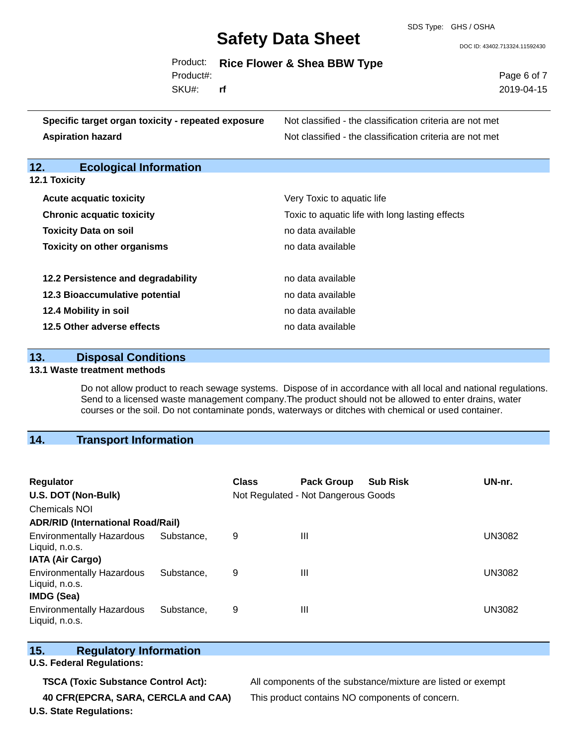SDS Type: GHS / OSHA

DOC ID: 43402.713324.11592430

|           | Product: Rice Flower & Shea BBW Type |
|-----------|--------------------------------------|
| Product#: |                                      |

SKU#: **rf** Page 6 of 7 2019-04-15

| Specific target organ toxicity - repeated exposure | Not classified - the classification criteria are not met |
|----------------------------------------------------|----------------------------------------------------------|
| <b>Aspiration hazard</b>                           | Not classified - the classification criteria are not met |

# **12. Ecological Information**

| <b>Acute acquatic toxicity</b>     | Very Toxic to aquatic life                      |
|------------------------------------|-------------------------------------------------|
| <b>Chronic acquatic toxicity</b>   | Toxic to aquatic life with long lasting effects |
| <b>Toxicity Data on soil</b>       | no data available                               |
| <b>Toxicity on other organisms</b> | no data available                               |
|                                    |                                                 |
| 12.2 Persistence and degradability | no data available                               |
| 12.3 Bioaccumulative potential     | no data available                               |
| 12.4 Mobility in soil              | no data available                               |
| 12.5 Other adverse effects         | no data available                               |

| 13. | <b>Disposal Conditions</b> |
|-----|----------------------------|
|     |                            |

#### **13.1 Waste treatment methods**

Do not allow product to reach sewage systems. Dispose of in accordance with all local and national regulations. Send to a licensed waste management company.The product should not be allowed to enter drains, water courses or the soil. Do not contaminate ponds, waterways or ditches with chemical or used container.

# **14. Transport Information**

| <b>Regulator</b>                                   |            | Class | <b>Pack Group</b>                   | <b>Sub Risk</b> | UN-nr.        |
|----------------------------------------------------|------------|-------|-------------------------------------|-----------------|---------------|
| U.S. DOT (Non-Bulk)                                |            |       | Not Regulated - Not Dangerous Goods |                 |               |
| <b>Chemicals NOI</b>                               |            |       |                                     |                 |               |
| <b>ADR/RID (International Road/Rail)</b>           |            |       |                                     |                 |               |
| <b>Environmentally Hazardous</b><br>Liquid, n.o.s. | Substance, | 9     | Ш                                   |                 | <b>UN3082</b> |
| <b>IATA (Air Cargo)</b>                            |            |       |                                     |                 |               |
| <b>Environmentally Hazardous</b><br>Liquid, n.o.s. | Substance. | 9     | Ш                                   |                 | <b>UN3082</b> |
| IMDG (Sea)                                         |            |       |                                     |                 |               |
| <b>Environmentally Hazardous</b><br>Liquid, n.o.s. | Substance. | 9     | Ш                                   |                 | <b>UN3082</b> |

### **15. Regulatory Information**

**U.S. Federal Regulations:**

**TSCA (Toxic Substance Control Act):** All components of the substance/mixture are listed or exempt **40 CFR(EPCRA, SARA, CERCLA and CAA)** This product contains NO components of concern.